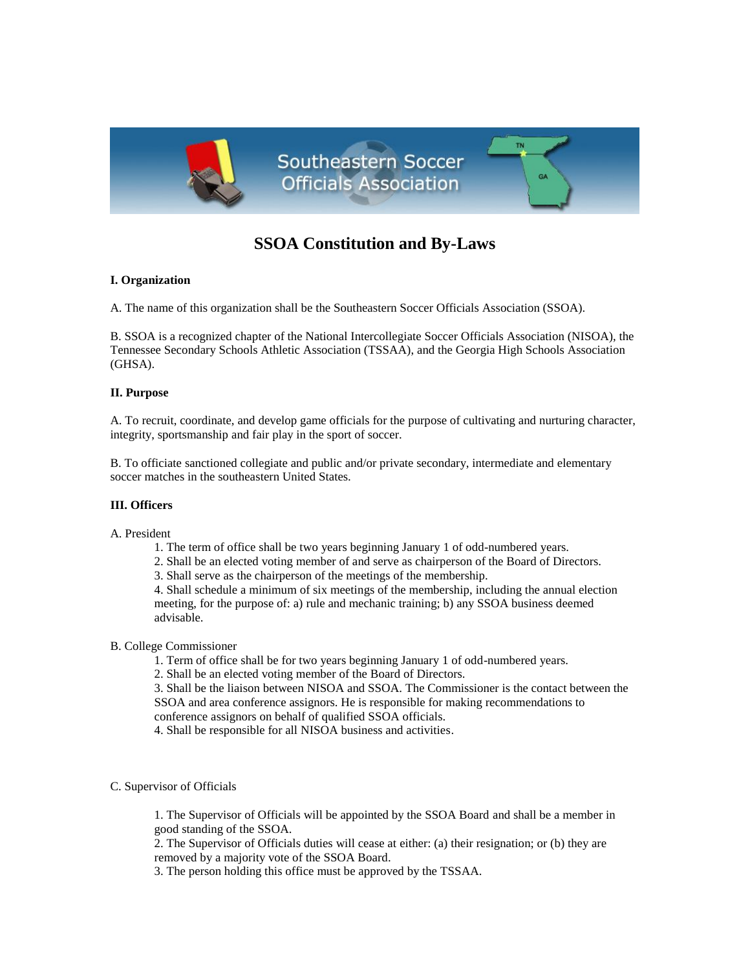

# **SSOA Constitution and By-Laws**

# **I. Organization**

A. The name of this organization shall be the Southeastern Soccer Officials Association (SSOA).

B. SSOA is a recognized chapter of the National Intercollegiate Soccer Officials Association (NISOA), the Tennessee Secondary Schools Athletic Association (TSSAA), and the Georgia High Schools Association (GHSA).

### **II. Purpose**

A. To recruit, coordinate, and develop game officials for the purpose of cultivating and nurturing character, integrity, sportsmanship and fair play in the sport of soccer.

B. To officiate sanctioned collegiate and public and/or private secondary, intermediate and elementary soccer matches in the southeastern United States.

# **III. Officers**

A. President

- 1. The term of office shall be two years beginning January 1 of odd-numbered years.
- 2. Shall be an elected voting member of and serve as chairperson of the Board of Directors.

3. Shall serve as the chairperson of the meetings of the membership.

4. Shall schedule a minimum of six meetings of the membership, including the annual election meeting, for the purpose of: a) rule and mechanic training; b) any SSOA business deemed advisable.

## B. College Commissioner

1. Term of office shall be for two years beginning January 1 of odd-numbered years.

2. Shall be an elected voting member of the Board of Directors.

3. Shall be the liaison between NISOA and SSOA. The Commissioner is the contact between the SSOA and area conference assignors. He is responsible for making recommendations to conference assignors on behalf of qualified SSOA officials.

4. Shall be responsible for all NISOA business and activities.

C. Supervisor of Officials

1. The Supervisor of Officials will be appointed by the SSOA Board and shall be a member in good standing of the SSOA.

2. The Supervisor of Officials duties will cease at either: (a) their resignation; or (b) they are removed by a majority vote of the SSOA Board.

3. The person holding this office must be approved by the TSSAA.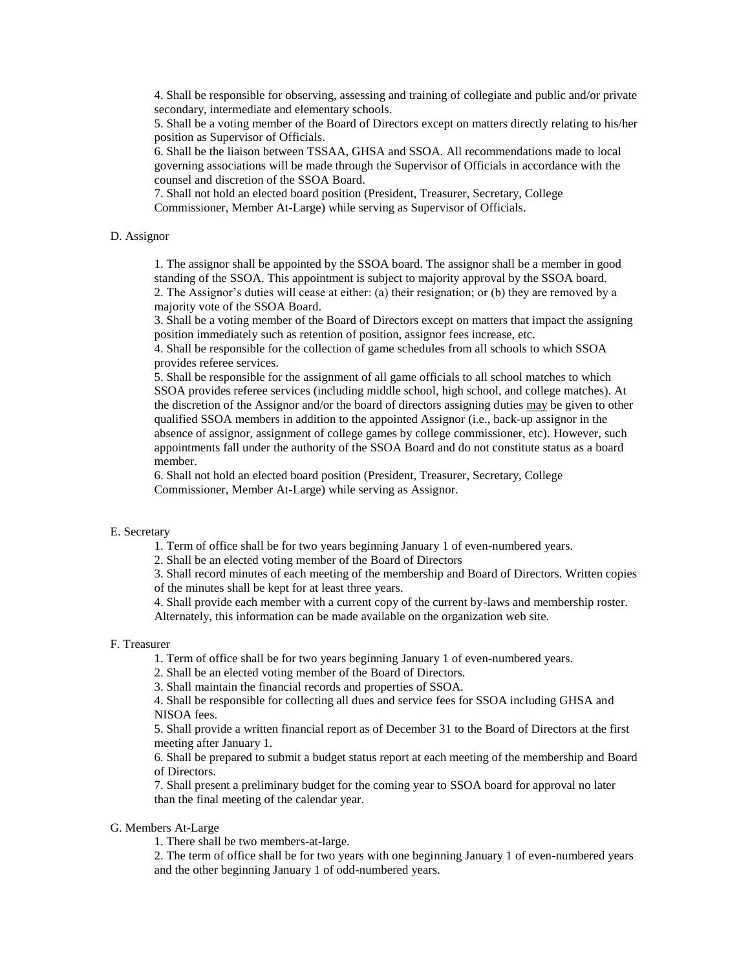4. Shall be responsible for observing, assessing and training of collegiate and public and/or private secondary, intermediate and elementary schools.

5. Shall be a voting member of the Board of Directors except on matters directly relating to his/her position as Supervisor of Officials.

6. Shall be the liaison between TSSAA, GHSA and SSOA. All recommendations made to local governing associations will be made through the Supervisor of Officials in accordance with the counsel and discretion of the SSOA Board.

7. Shall not hold an elected board position (President, Treasurer, Secretary, College Commissioner, Member At-Large) while serving as Supervisor of Officials.

## D. Assignor

1. The assignor shall be appointed by the SSOA board. The assignor shall be a member in good standing of the SSOA. This appointment is subject to majority approval by the SSOA board. 2. The Assignor's duties will cease at either: (a) their resignation; or (b) they are removed by a majority vote of the SSOA Board.

3. Shall be a voting member of the Board of Directors except on matters that impact the assigning position immediately such as retention of position, assignor fees increase, etc.

4. Shall be responsible for the collection of game schedules from all schools to which SSOA provides referee services.

5. Shall be responsible for the assignment of all game officials to all school matches to which SSOA provides referee services (including middle school, high school, and college matches). At the discretion of the Assignor and/or the board of directors assigning duties may be given to other qualified SSOA members in addition to the appointed Assignor (i.e., back-up assignor in the absence of assignor, assignment of college games by college commissioner, etc). However, such appointments fall under the authority of the SSOA Board and do not constitute status as a board member.

6. Shall not hold an elected board position (President, Treasurer, Secretary, College Commissioner, Member At-Large) while serving as Assignor.

## E. Secretary

1. Term of office shall be for two years beginning January 1 of even-numbered years.

2. Shall be an elected voting member of the Board of Directors

3. Shall record minutes of each meeting of the membership and Board of Directors. Written copies of the minutes shall be kept for at least three years.

4. Shall provide each member with a current copy of the current by-laws and membership roster. Alternately, this information can be made available on the organization web site.

#### F. Treasurer

1. Term of office shall be for two years beginning January 1 of even-numbered years.

2. Shall be an elected voting member of the Board of Directors.

3. Shall maintain the financial records and properties of SSOA.

4. Shall be responsible for collecting all dues and service fees for SSOA including GHSA and NISOA fees.

5. Shall provide a written financial report as of December 31 to the Board of Directors at the first meeting after January 1.

6. Shall be prepared to submit a budget status report at each meeting of the membership and Board of Directors.

7. Shall present a preliminary budget for the coming year to SSOA board for approval no later than the final meeting of the calendar year.

#### G. Members At-Large

1. There shall be two members-at-large.

2. The term of office shall be for two years with one beginning January 1 of even-numbered years and the other beginning January 1 of odd-numbered years.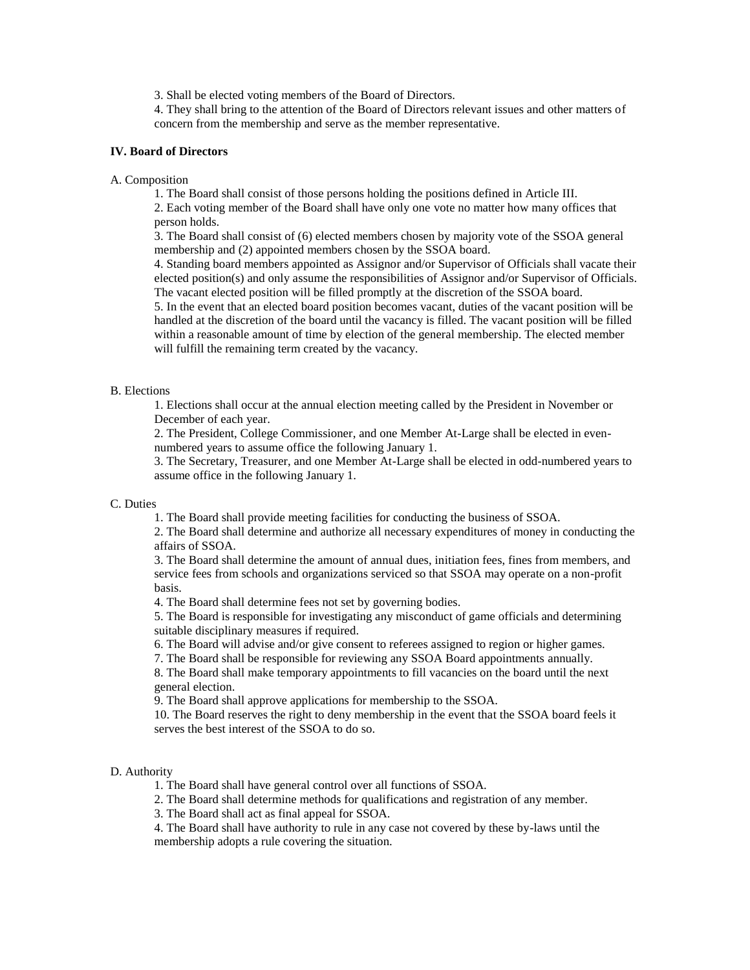3. Shall be elected voting members of the Board of Directors.

4. They shall bring to the attention of the Board of Directors relevant issues and other matters of concern from the membership and serve as the member representative.

#### **IV. Board of Directors**

#### A. Composition

1. The Board shall consist of those persons holding the positions defined in Article III.

2. Each voting member of the Board shall have only one vote no matter how many offices that person holds.

3. The Board shall consist of (6) elected members chosen by majority vote of the SSOA general membership and (2) appointed members chosen by the SSOA board.

4. Standing board members appointed as Assignor and/or Supervisor of Officials shall vacate their elected position(s) and only assume the responsibilities of Assignor and/or Supervisor of Officials. The vacant elected position will be filled promptly at the discretion of the SSOA board.

5. In the event that an elected board position becomes vacant, duties of the vacant position will be handled at the discretion of the board until the vacancy is filled. The vacant position will be filled within a reasonable amount of time by election of the general membership. The elected member will fulfill the remaining term created by the vacancy.

## B. Elections

1. Elections shall occur at the annual election meeting called by the President in November or December of each year.

2. The President, College Commissioner, and one Member At-Large shall be elected in evennumbered years to assume office the following January 1.

3. The Secretary, Treasurer, and one Member At-Large shall be elected in odd-numbered years to assume office in the following January 1.

#### C. Duties

1. The Board shall provide meeting facilities for conducting the business of SSOA.

2. The Board shall determine and authorize all necessary expenditures of money in conducting the affairs of SSOA.

3. The Board shall determine the amount of annual dues, initiation fees, fines from members, and service fees from schools and organizations serviced so that SSOA may operate on a non-profit basis.

4. The Board shall determine fees not set by governing bodies.

5. The Board is responsible for investigating any misconduct of game officials and determining suitable disciplinary measures if required.

6. The Board will advise and/or give consent to referees assigned to region or higher games.

7. The Board shall be responsible for reviewing any SSOA Board appointments annually.

8. The Board shall make temporary appointments to fill vacancies on the board until the next general election.

9. The Board shall approve applications for membership to the SSOA.

10. The Board reserves the right to deny membership in the event that the SSOA board feels it serves the best interest of the SSOA to do so.

#### D. Authority

1. The Board shall have general control over all functions of SSOA.

2. The Board shall determine methods for qualifications and registration of any member.

3. The Board shall act as final appeal for SSOA.

4. The Board shall have authority to rule in any case not covered by these by-laws until the membership adopts a rule covering the situation.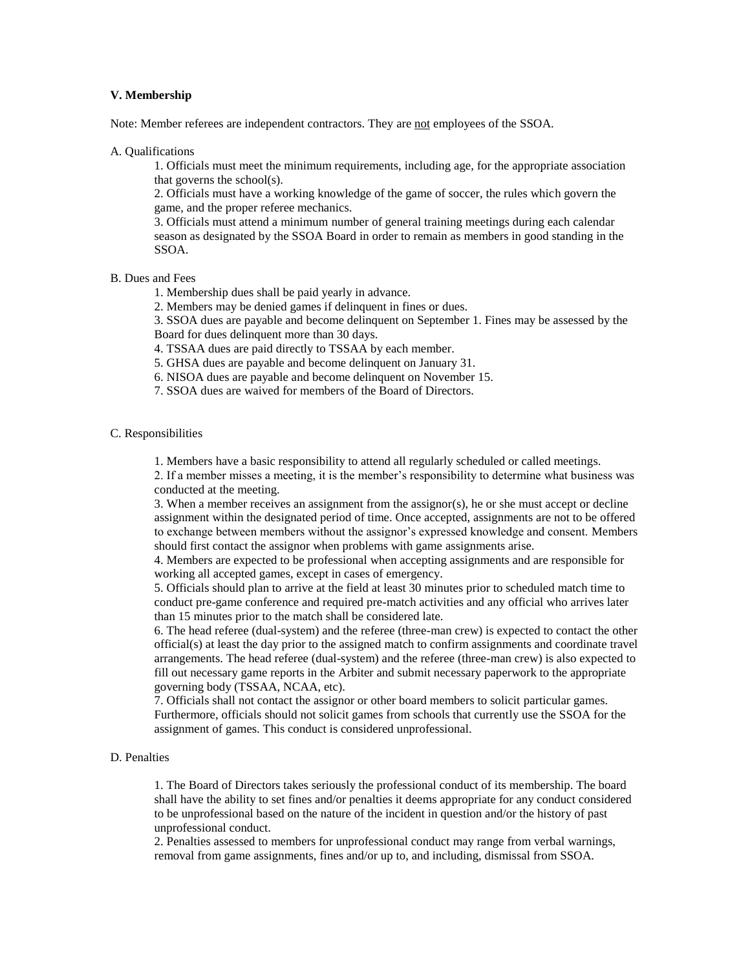#### **V. Membership**

Note: Member referees are independent contractors. They are not employees of the SSOA.

A. Qualifications

1. Officials must meet the minimum requirements, including age, for the appropriate association that governs the school(s).

2. Officials must have a working knowledge of the game of soccer, the rules which govern the game, and the proper referee mechanics.

3. Officials must attend a minimum number of general training meetings during each calendar season as designated by the SSOA Board in order to remain as members in good standing in the SSOA.

B. Dues and Fees

1. Membership dues shall be paid yearly in advance.

2. Members may be denied games if delinquent in fines or dues.

3. SSOA dues are payable and become delinquent on September 1. Fines may be assessed by the Board for dues delinquent more than 30 days.

4. TSSAA dues are paid directly to TSSAA by each member.

- 5. GHSA dues are payable and become delinquent on January 31.
- 6. NISOA dues are payable and become delinquent on November 15.

7. SSOA dues are waived for members of the Board of Directors.

# C. Responsibilities

1. Members have a basic responsibility to attend all regularly scheduled or called meetings.

2. If a member misses a meeting, it is the member's responsibility to determine what business was conducted at the meeting.

3. When a member receives an assignment from the assignor(s), he or she must accept or decline assignment within the designated period of time. Once accepted, assignments are not to be offered to exchange between members without the assignor's expressed knowledge and consent. Members should first contact the assignor when problems with game assignments arise.

4. Members are expected to be professional when accepting assignments and are responsible for working all accepted games, except in cases of emergency.

5. Officials should plan to arrive at the field at least 30 minutes prior to scheduled match time to conduct pre-game conference and required pre-match activities and any official who arrives later than 15 minutes prior to the match shall be considered late.

6. The head referee (dual-system) and the referee (three-man crew) is expected to contact the other official(s) at least the day prior to the assigned match to confirm assignments and coordinate travel arrangements. The head referee (dual-system) and the referee (three-man crew) is also expected to fill out necessary game reports in the Arbiter and submit necessary paperwork to the appropriate governing body (TSSAA, NCAA, etc).

7. Officials shall not contact the assignor or other board members to solicit particular games. Furthermore, officials should not solicit games from schools that currently use the SSOA for the assignment of games. This conduct is considered unprofessional.

## D. Penalties

1. The Board of Directors takes seriously the professional conduct of its membership. The board shall have the ability to set fines and/or penalties it deems appropriate for any conduct considered to be unprofessional based on the nature of the incident in question and/or the history of past unprofessional conduct.

2. Penalties assessed to members for unprofessional conduct may range from verbal warnings, removal from game assignments, fines and/or up to, and including, dismissal from SSOA.